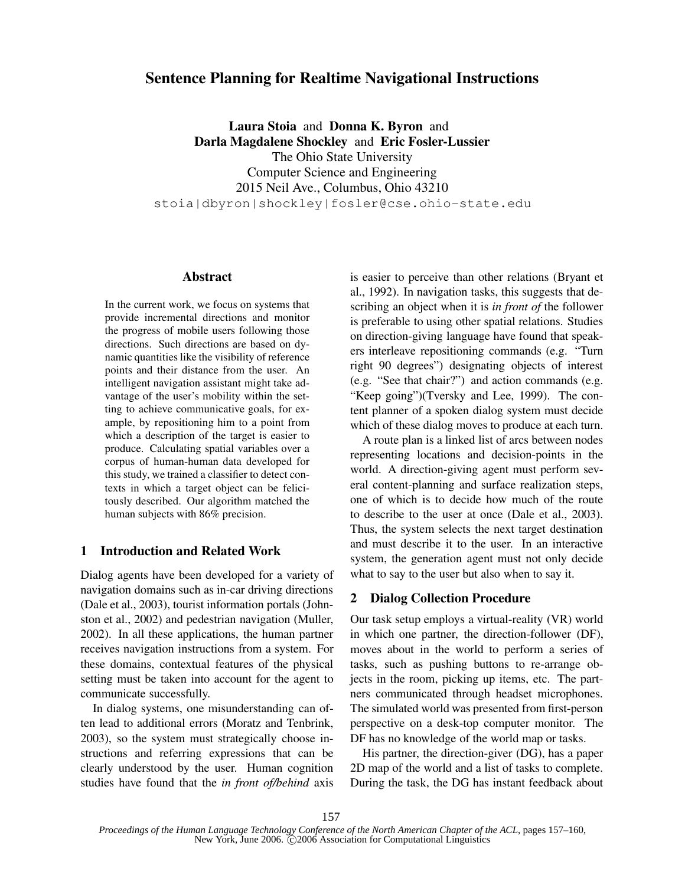# **Sentence Planning for Realtime Navigational Instructions**

**Laura Stoia** and **Donna K. Byron** and **Darla Magdalene Shockley** and **Eric Fosler-Lussier** The Ohio State University Computer Science and Engineering 2015 Neil Ave., Columbus, Ohio 43210 stoia|dbyron|shockley|fosler@cse.ohio-state.edu

#### **Abstract**

In the current work, we focus on systems that provide incremental directions and monitor the progress of mobile users following those directions. Such directions are based on dynamic quantities like the visibility of reference points and their distance from the user. An intelligent navigation assistant might take advantage of the user's mobility within the setting to achieve communicative goals, for example, by repositioning him to a point from which a description of the target is easier to produce. Calculating spatial variables over a corpus of human-human data developed for this study, we trained a classifier to detect contexts in which a target object can be felicitously described. Our algorithm matched the human subjects with 86% precision.

### **1 Introduction and Related Work**

Dialog agents have been developed for a variety of navigation domains such as in-car driving directions (Dale et al., 2003), tourist information portals (Johnston et al., 2002) and pedestrian navigation (Muller, 2002). In all these applications, the human partner receives navigation instructions from a system. For these domains, contextual features of the physical setting must be taken into account for the agent to communicate successfully.

In dialog systems, one misunderstanding can often lead to additional errors (Moratz and Tenbrink, 2003), so the system must strategically choose instructions and referring expressions that can be clearly understood by the user. Human cognition studies have found that the *in front of/behind* axis is easier to perceive than other relations (Bryant et al., 1992). In navigation tasks, this suggests that describing an object when it is *in front of* the follower is preferable to using other spatial relations. Studies on direction-giving language have found that speakers interleave repositioning commands (e.g. "Turn right 90 degrees") designating objects of interest (e.g. "See that chair?") and action commands (e.g. "Keep going")(Tversky and Lee, 1999). The content planner of a spoken dialog system must decide which of these dialog moves to produce at each turn.

A route plan is a linked list of arcs between nodes representing locations and decision-points in the world. A direction-giving agent must perform several content-planning and surface realization steps, one of which is to decide how much of the route to describe to the user at once (Dale et al., 2003). Thus, the system selects the next target destination and must describe it to the user. In an interactive system, the generation agent must not only decide what to say to the user but also when to say it.

## **2 Dialog Collection Procedure**

Our task setup employs a virtual-reality (VR) world in which one partner, the direction-follower (DF), moves about in the world to perform a series of tasks, such as pushing buttons to re-arrange objects in the room, picking up items, etc. The partners communicated through headset microphones. The simulated world was presented from first-person perspective on a desk-top computer monitor. The DF has no knowledge of the world map or tasks.

His partner, the direction-giver (DG), has a paper 2D map of the world and a list of tasks to complete. During the task, the DG has instant feedback about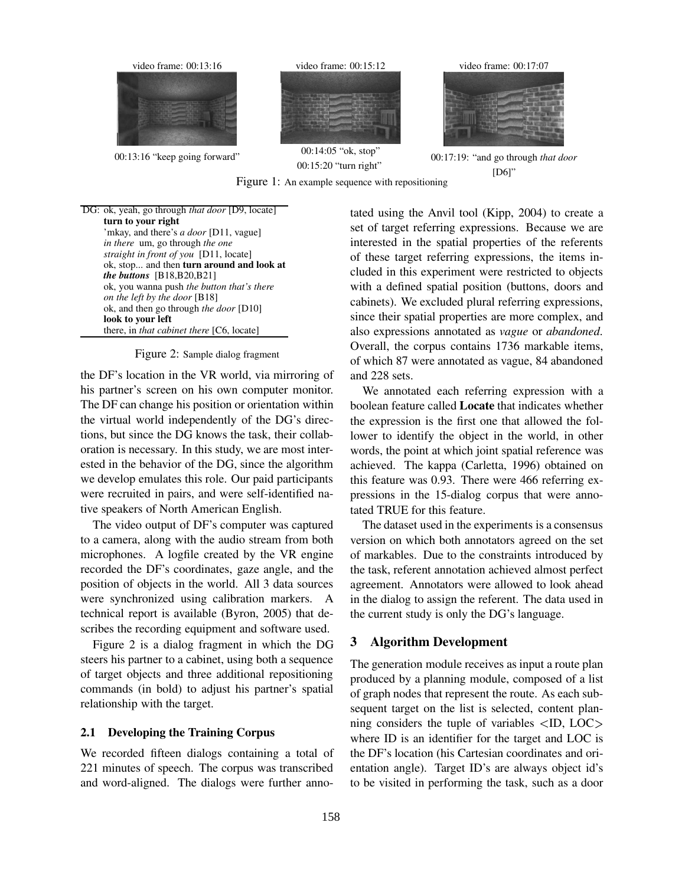

Figure 1: An example sequence with repositioning

DG: ok, yeah, go through *that door* [D9, locate] **turn to your right** 'mkay, and there's *a door* [D11, vague] *in there* um, go through *the one straight in front of you* [D11, locate] ok, stop... and then **turn around and look at** *the buttons* [B18,B20,B21] ok, you wanna push *the button that's there on the left by the door* [B18] ok, and then go through *the door* [D10] **look to your left** there, in *that cabinet there* [C6, locate]

Figure 2: Sample dialog fragment

the DF's location in the VR world, via mirroring of his partner's screen on his own computer monitor. The DF can change his position or orientation within the virtual world independently of the DG's directions, but since the DG knows the task, their collaboration is necessary. In this study, we are most interested in the behavior of the DG, since the algorithm we develop emulates this role. Our paid participants were recruited in pairs, and were self-identified native speakers of North American English.

The video output of DF's computer was captured to a camera, along with the audio stream from both microphones. A logfile created by the VR engine recorded the DF's coordinates, gaze angle, and the position of objects in the world. All 3 data sources were synchronized using calibration markers. A technical report is available (Byron, 2005) that describes the recording equipment and software used.

Figure 2 is a dialog fragment in which the DG steers his partner to a cabinet, using both a sequence of target objects and three additional repositioning commands (in bold) to adjust his partner's spatial relationship with the target.

### **2.1 Developing the Training Corpus**

We recorded fifteen dialogs containing a total of 221 minutes of speech. The corpus was transcribed and word-aligned. The dialogs were further annotated using the Anvil tool (Kipp, 2004) to create a set of target referring expressions. Because we are interested in the spatial properties of the referents of these target referring expressions, the items included in this experiment were restricted to objects with a defined spatial position (buttons, doors and cabinets). We excluded plural referring expressions, since their spatial properties are more complex, and also expressions annotated as *vague* or *abandoned*. Overall, the corpus contains 1736 markable items, of which 87 were annotated as vague, 84 abandoned and 228 sets.

We annotated each referring expression with a boolean feature called **Locate** that indicates whether the expression is the first one that allowed the follower to identify the object in the world, in other words, the point at which joint spatial reference was achieved. The kappa (Carletta, 1996) obtained on this feature was 0.93. There were 466 referring expressions in the 15-dialog corpus that were annotated TRUE for this feature.

The dataset used in the experiments is a consensus version on which both annotators agreed on the set of markables. Due to the constraints introduced by the task, referent annotation achieved almost perfect agreement. Annotators were allowed to look ahead in the dialog to assign the referent. The data used in the current study is only the DG's language.

## **3 Algorithm Development**

The generation module receives as input a route plan produced by a planning module, composed of a list of graph nodes that represent the route. As each subsequent target on the list is selected, content planning considers the tuple of variables  $\langle$ ID, LOC $\rangle$ where ID is an identifier for the target and LOC is the DF's location (his Cartesian coordinates and orientation angle). Target ID's are always object id's to be visited in performing the task, such as a door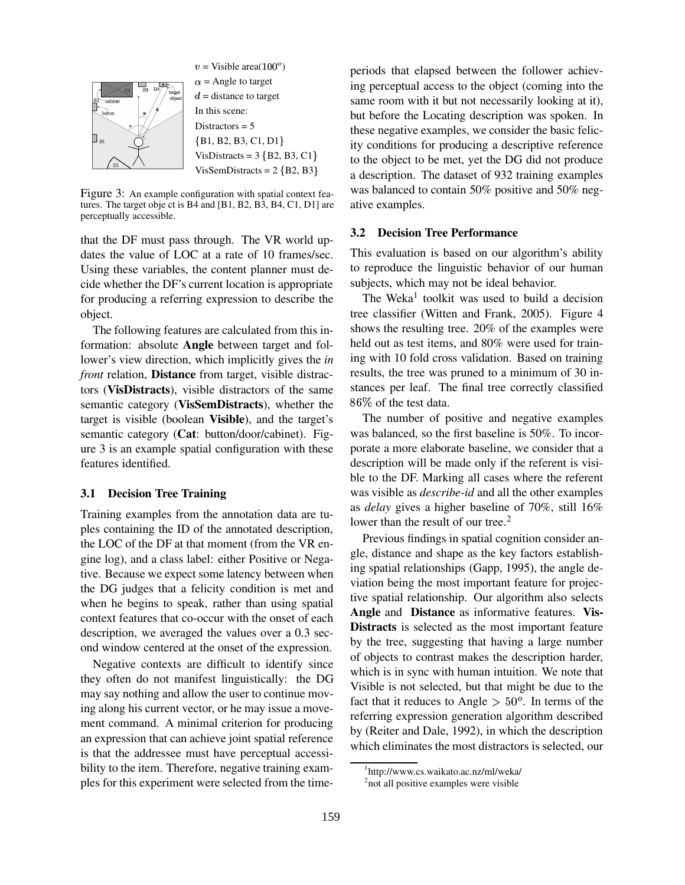

 $v =$  Visible area $(100^{\circ})$  $\alpha$  = Angle to target  $d =$  distance to target In this scene: Distractors  $= 5$  ${B1, B2, B3, C1, D1}$  $VisDistracts = 3 {B2, B3, C1}$  $VisSemDistracts = 2 {B2, B3}$ 

Figure 3: An example configuration with spatial context features. The target obje ct is B4 and [B1, B2, B3, B4, C1, D1] are perceptually accessible.

that the DF must pass through. The VR world updates the value of LOC at a rate of 10 frames/sec. Using these variables, the content planner must decide whether the DF's current location is appropriate for producing a referring expression to describe the object.

The following features are calculated from this information: absolute **Angle** between target and follower's view direction, which implicitly gives the *in front* relation, **Distance** from target, visible distractors (**VisDistracts**), visible distractors of the same semantic category (**VisSemDistracts**), whether the target is visible (boolean **Visible**), and the target's semantic category (**Cat**: button/door/cabinet). Figure 3 is an example spatial configuration with these features identified.

## **3.1 Decision Tree Training**

Training examples from the annotation data are tuples containing the ID of the annotated description, the LOC of the DF at that moment (from the VR engine log), and a class label: either Positive or Negative. Because we expect some latency between when the DG judges that a felicity condition is met and when he begins to speak, rather than using spatial context features that co-occur with the onset of each description, we averaged the values over a 0.3 second window centered at the onset of the expression.

Negative contexts are difficult to identify since they often do not manifest linguistically: the DG may say nothing and allow the user to continue moving along his current vector, or he may issue a movement command. A minimal criterion for producing an expression that can achieve joint spatial reference is that the addressee must have perceptual accessibility to the item. Therefore, negative training examples for this experiment were selected from the timeperiods that elapsed between the follower achieving perceptual access to the object (coming into the same room with it but not necessarily looking at it), but before the Locating description was spoken. In these negative examples, we consider the basic felicity conditions for producing a descriptive reference to the object to be met, yet the DG did not produce a description. The dataset of 932 training examples was balanced to contain 50% positive and 50% negative examples.

## **3.2 Decision Tree Performance**

This evaluation is based on our algorithm's ability to reproduce the linguistic behavior of our human subjects, which may not be ideal behavior.

The Weka<sup>1</sup> toolkit was used to build a decision tree classifier (Witten and Frank, 2005). Figure 4 shows the resulting tree. 20% of the examples were held out as test items, and 80% were used for training with 10 fold cross validation. Based on training results, the tree was pruned to a minimum of 30 instances per leaf. The final tree correctly classified 86% of the test data.

The number of positive and negative examples was balanced, so the first baseline is 50%. To incorporate a more elaborate baseline, we consider that a description will be made only if the referent is visible to the DF. Marking all cases where the referent was visible as *describe-id* and all the other examples as *delay* gives a higher baseline of 70%, still 16% lower than the result of our tree.<sup>2</sup>

Previous findings in spatial cognition consider angle, distance and shape as the key factors establishing spatial relationships (Gapp, 1995), the angle deviation being the most important feature for projective spatial relationship. Our algorithm also selects **Angle** and **Distance** as informative features. **Vis-Distracts** is selected as the most important feature by the tree, suggesting that having a large number of objects to contrast makes the description harder, which is in sync with human intuition. We note that Visible is not selected, but that might be due to the fact that it reduces to Angle  $> 50^{\circ}$ . In terms of the referring expression generation algorithm described by (Reiter and Dale, 1992), in which the description which eliminates the most distractors is selected, our

<sup>1</sup> http://www.cs.waikato.ac.nz/ml/weka/

<sup>&</sup>lt;sup>2</sup>not all positive examples were visible